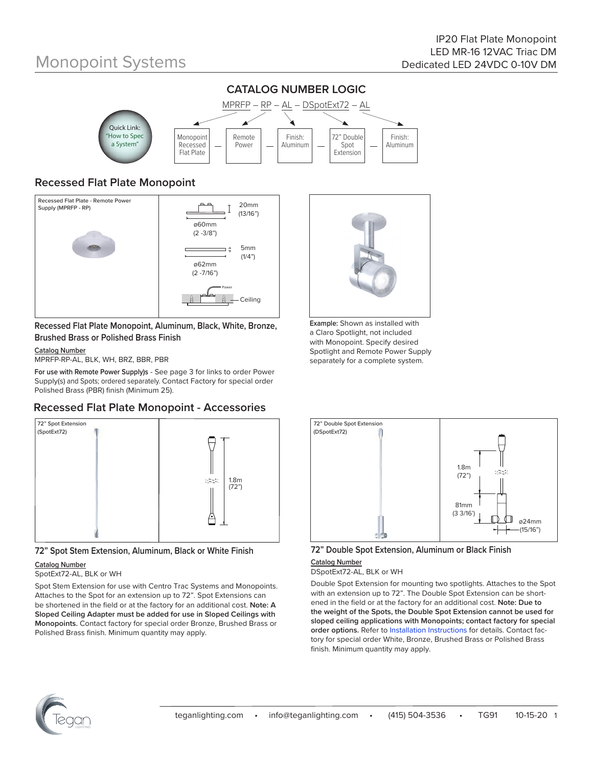

## **Recessed Flat Plate Monopoint**



**Recessed Flat Plate Monopoint, Aluminum, Black, White, Bronze, Brushed Brass or Polished Brass Finish**

#### **Catalog Number**

MPRFP-RP-AL, BLK, WH, BRZ, BBR, PBR

**For use with Remote Power Supply)s** - See page 3 for links to order Power Supply(s) and Spots; ordered separately. Contact Factory for special order Polished Brass (PBR) finish (Minimum 25).

#### **Recessed Flat Plate Monopoint - Accessories**





#### **Catalog Number**

#### SpotExt72-AL, BLK or WH

Spot Stem Extension for use with Centro Trac Systems and Monopoints. Attaches to the Spot for an extension up to 72". Spot Extensions can be shortened in the field or at the factory for an additional cost. **Note: A Sloped Ceiling Adapter must be added for use in Sloped Ceilings with Monopoints.** Contact factory for special order Bronze, Brushed Brass or Polished Brass finish. Minimum quantity may apply.



**Example:** Shown as installed with a Claro Spotlight, not included with Monopoint. Specify desired Spotlight and Remote Power Supply separately for a complete system.



#### **72" Double Spot Extension, Aluminum or Black Finish**

## **Catalog Number**

DSpotExt72-AL, BLK or WH

Double Spot Extension for mounting two spotlights. Attaches to the Spot with an extension up to 72". The Double Spot Extension can be shortened in the field or at the factory for an additional cost. **Note: Due to the weight of the Spots, the Double Spot Extension cannot be used for sloped ceiling applications with Monopoints; contact factory for special order options.** Refer to Installation Instructions for details. Contact factory for special order White, Bronze, Brushed Brass or Polished Brass finish. Minimum quantity may apply.

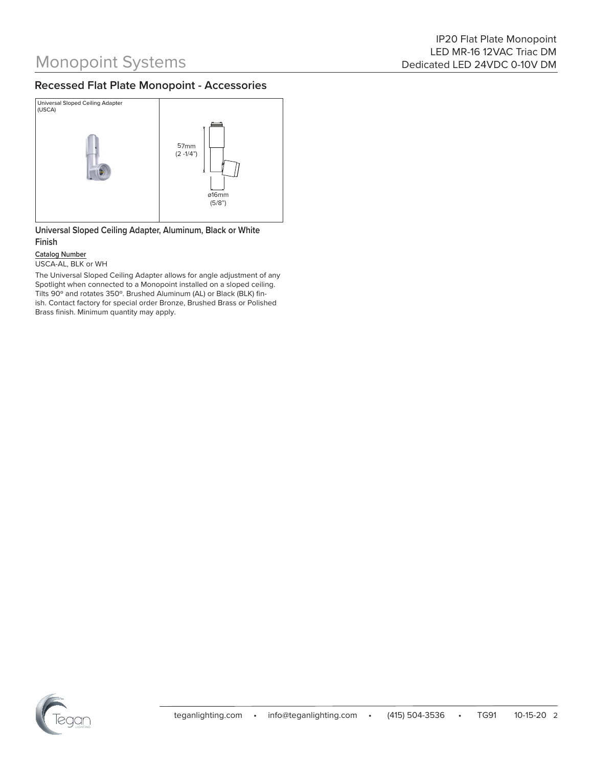## **Recessed Flat Plate Monopoint - Accessories**



**Universal Sloped Ceiling Adapter, Aluminum, Black or White Finish**

#### **Catalog Number**

USCA-AL, BLK or WH

The Universal Sloped Ceiling Adapter allows for angle adjustment of any Spotlight when connected to a Monopoint installed on a sloped ceiling. Tilts 90º and rotates 350º. Brushed Aluminum (AL) or Black (BLK) finish. Contact factory for special order Bronze, Brushed Brass or Polished Brass finish. Minimum quantity may apply.

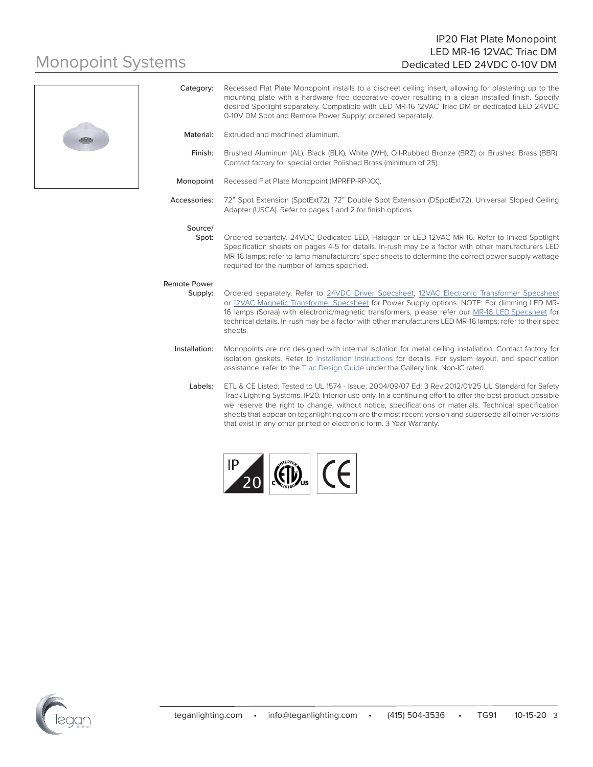

| Category:                      | Recessed Flat Plate Monopoint installs to a discreet ceiling insert, allowing for plastering up to the<br>mounting plate with a hardware free decorative cover resulting in a clean installed finish. Specify<br>desired Spotlight separately. Compatible with LED MR-16 12VAC Triac DM or dedicated LED 24VDC<br>0-10V DM Spot and Remote Power Supply; ordered separately.                                          |
|--------------------------------|-----------------------------------------------------------------------------------------------------------------------------------------------------------------------------------------------------------------------------------------------------------------------------------------------------------------------------------------------------------------------------------------------------------------------|
| Material:                      | Extruded and machined aluminum.                                                                                                                                                                                                                                                                                                                                                                                       |
| Finish:                        | Brushed Aluminum (AL), Black (BLK), White (WH), Oil-Rubbed Bronze (BRZ) or Brushed Brass (BBR).<br>Contact factory for special order Polished Brass (minimum of 25).                                                                                                                                                                                                                                                  |
| Monopoint                      | Recessed Flat Plate Monopoint (MPRFP-RP-XX).                                                                                                                                                                                                                                                                                                                                                                          |
| Accessories:                   | 72" Spot Extension (SpotExt72), 72" Double Spot Extension (DSpotExt72), Universal Sloped Ceiling<br>Adapter (USCA). Refer to pages 1 and 2 for finish options.                                                                                                                                                                                                                                                        |
| Source/<br>Spot:               | Ordered separtely. 24VDC Dedicated LED, Halogen or LED 12VAC MR-16. Refer to linked Spotlight<br>Specification sheets on pages 4-5 for details. In-rush may be a factor with other manufacturers LED<br>MR-16 lamps; refer to lamp manufacturers' spec sheets to determine the correct power supply wattage<br>required for the number of lamps specified.                                                            |
| <b>Remote Power</b><br>Supply: | Ordered separately. Refer to 24VDC Driver Specsheet, 12VAC Electronic Transformer Specsheet<br>or 12VAC Magnetic Transformer Specsheet for Power Supply options. NOTE: For dimming LED MR-<br>16 lamps (Soraa) with electronic/magnetic transformers, please refer our MR-16 LED Specsheet for<br>technical details. In-rush may be a factor with other manufacturers LED MR-16 lamps; refer to their spec<br>sheets. |
| Installation:                  | Monopoints are not designed with internal isolation for metal ceiling installation. Contact factory for<br>isolation gaskets. Refer to Installation Instructions for details. For system layout, and specification<br>assistance, refer to the Trac Design Guide under the Gallery link. Non-IC rated.                                                                                                                |
| Labels:                        | ETL & CE Listed; Tested to UL 1574 - Issue: 2004/09/07 Ed: 3 Rev: 2012/01/25 UL Standard for Safety                                                                                                                                                                                                                                                                                                                   |

Track Lighting Systems. IP20. Interior use only. In a continuing effort to offer the best product possible we reserve the right to change, without notice, specifications or materials. Technical specification sheets that appear on teganlighting.com are the most recent version and supersede all other versions that exist in any other printed or electronic form. 3 Year Warranty.



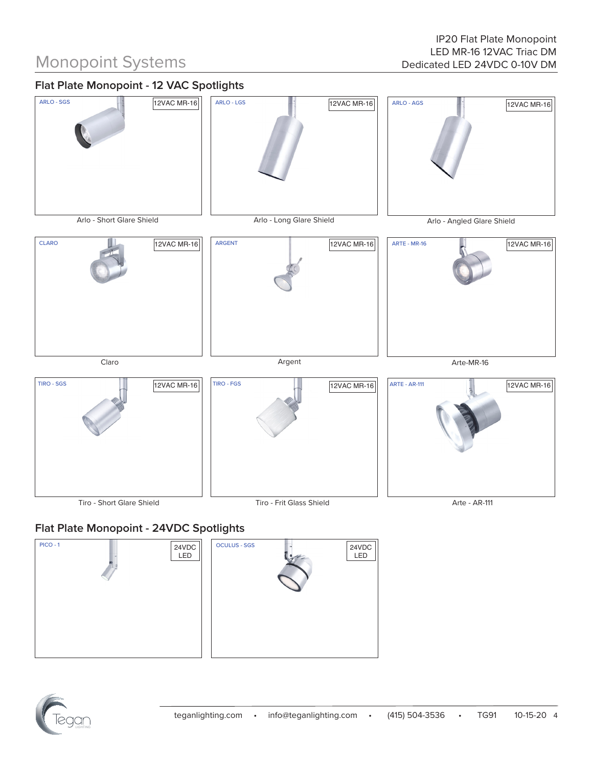## **Flat Plate Monopoint - 12 VAC Spotlights**



## **Flat Plate Monopoint - 24VDC Spotlights**